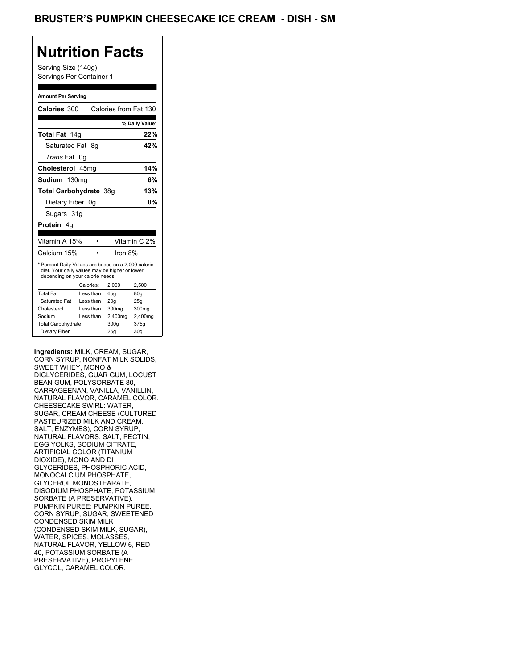Serving Size (140g) Servings Per Container 1

#### **Amount Per Serving**

| Calories 300                                                                                                                              |           |           | Calories from Fat 130 |                 |
|-------------------------------------------------------------------------------------------------------------------------------------------|-----------|-----------|-----------------------|-----------------|
|                                                                                                                                           |           |           |                       | % Daily Value*  |
| Total Fat 14g                                                                                                                             |           |           |                       | 22%             |
| Saturated Fat                                                                                                                             |           | - 8g      |                       | 42%             |
| <i>Trans</i> Fat                                                                                                                          | 0g        |           |                       |                 |
| Cholesterol 45mg                                                                                                                          |           |           |                       | 14%             |
| Sodium 130mg                                                                                                                              |           |           |                       | 6%              |
| <b>Total Carbohydrate 38g</b>                                                                                                             |           |           |                       | 13%             |
| Dietary Fiber 0g                                                                                                                          |           |           |                       | 0%              |
| Sugars 31g                                                                                                                                |           |           |                       |                 |
| <b>Protein</b> 4q                                                                                                                         |           |           |                       |                 |
|                                                                                                                                           |           |           |                       |                 |
| Vitamin A 15%                                                                                                                             |           | $\bullet$ |                       | Vitamin C 2%    |
| Calcium 15%                                                                                                                               |           |           | Iron 8%               |                 |
| * Percent Daily Values are based on a 2,000 calorie<br>diet. Your daily values may be higher or lower<br>depending on your calorie needs: |           |           |                       |                 |
|                                                                                                                                           | Calories: |           | 2,000                 | 2,500           |
| <b>Total Fat</b>                                                                                                                          | Less than |           | 65q                   | 80q             |
| Saturated Fat                                                                                                                             | Less than |           | 20q                   | 25g             |
| Cholesterol                                                                                                                               | Less than |           | 300mg                 | 300mg           |
| Sodium                                                                                                                                    | Less than |           | 2,400mg               | 2,400mg         |
| <b>Total Carbohydrate</b>                                                                                                                 |           |           | 300q                  | 375g            |
| Dietary Fiber                                                                                                                             |           |           | 25g                   | 30 <sub>q</sub> |

**Ingredients:** MILK, CREAM, SUGAR, CORN SYRUP, NONFAT MILK SOLIDS, SWEET WHEY, MONO & DIGLYCERIDES, GUAR GUM, LOCUST BEAN GUM, POLYSORBATE 80, CARRAGEENAN, VANILLA, VANILLIN, NATURAL FLAVOR, CARAMEL COLOR. CHEESECAKE SWIRL: WATER, SUGAR, CREAM CHEESE (CULTURED PASTEURIZED MILK AND CREAM, SALT, ENZYMES), CORN SYRUP, NATURAL FLAVORS, SALT, PECTIN, EGG YOLKS, SODIUM CITRATE, ARTIFICIAL COLOR (TITANIUM DIOXIDE), MONO AND DI GLYCERIDES, PHOSPHORIC ACID, MONOCALCIUM PHOSPHATE, GLYCEROL MONOSTEARATE, DISODIUM PHOSPHATE, POTASSIUM SORBATE (A PRESERVATIVE). PUMPKIN PUREE: PUMPKIN PUREE, CORN SYRUP, SUGAR, SWEETENED CONDENSED SKIM MILK (CONDENSED SKIM MILK, SUGAR), WATER, SPICES, MOLASSES, NATURAL FLAVOR, YELLOW 6, RED 40, POTASSIUM SORBATE (A PRESERVATIVE), PROPYLENE GLYCOL, CARAMEL COLOR.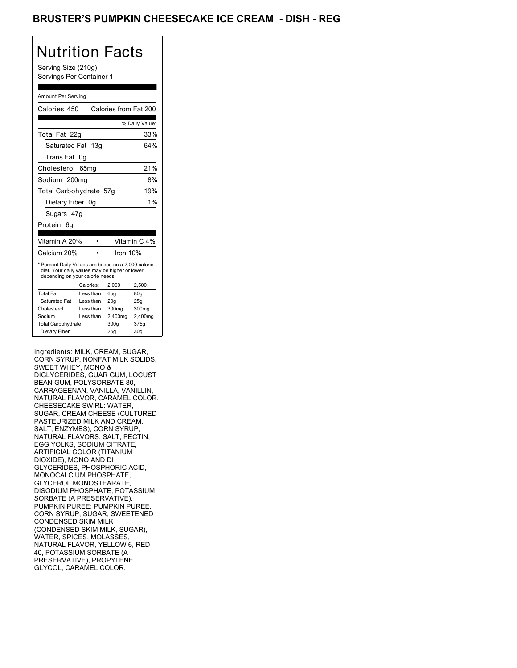### BRUSTER'S PUMPKIN CHEESECAKE ICE CREAM - DISH - REG

# Nutrition Facts

Serving Size (210g) Servings Per Container 1

#### Amount Per Serving

| Calories 450                                                                                                                              |                  |           |          | Calories from Fat 200 |
|-------------------------------------------------------------------------------------------------------------------------------------------|------------------|-----------|----------|-----------------------|
|                                                                                                                                           |                  |           |          | % Daily Value*        |
| Total Fat 22q                                                                                                                             |                  |           |          | 33%                   |
| Saturated Fat 13g                                                                                                                         |                  |           |          | 64%                   |
| <b>Trans Fat</b>                                                                                                                          | 0g               |           |          |                       |
| Cholesterol                                                                                                                               | 65 <sub>mq</sub> |           |          | 21%                   |
| Sodium 200mg                                                                                                                              |                  |           |          | 8%                    |
| Total Carbohydrate 57g                                                                                                                    |                  |           |          | 19%                   |
| Dietary Fiber 0q                                                                                                                          |                  |           |          | 1%                    |
| Sugars 47g                                                                                                                                |                  |           |          |                       |
| Protein<br>6g                                                                                                                             |                  |           |          |                       |
|                                                                                                                                           |                  |           |          |                       |
| Vitamin A 20%                                                                                                                             |                  |           |          | Vitamin C 4%          |
| Calcium 20%                                                                                                                               |                  |           | Iron 10% |                       |
| * Percent Daily Values are based on a 2,000 calorie<br>diet. Your daily values may be higher or lower<br>depending on your calorie needs: |                  |           |          |                       |
|                                                                                                                                           |                  | Calories: | 2.000    | 2,500                 |
| <b>Total Fat</b>                                                                                                                          |                  | Less than | 65q      | 80 <sub>g</sub>       |
| Saturated Fat                                                                                                                             |                  | Less than | 20q      | 25q                   |
| Cholesterol                                                                                                                               |                  | Less than | 300mg    | 300mg                 |
| Sodium                                                                                                                                    |                  | Less than | 2,400mg  | 2,400mg               |
| <b>Total Carbohydrate</b>                                                                                                                 |                  |           | 300q     | 375g                  |
| Dietary Fiber                                                                                                                             |                  |           | 25g      | 30 <sub>g</sub>       |

Ingredients: MILK, CREAM, SUGAR, CORN SYRUP, NONFAT MILK SOLIDS, SWEET WHEY, MONO & DIGLYCERIDES, GUAR GUM, LOCUST BEAN GUM, POLYSORBATE 80, CARRAGEENAN, VANILLA, VANILLIN, NATURAL FLAVOR, CARAMEL COLOR. CHEESECAKE SWIRL: WATER, SUGAR, CREAM CHEESE (CULTURED PASTEURIZED MILK AND CREAM, SALT, ENZYMES), CORN SYRUP, NATURAL FLAVORS, SALT, PECTIN, EGG YOLKS, SODIUM CITRATE, ARTIFICIAL COLOR (TITANIUM DIOXIDE), MONO AND DI GLYCERIDES, PHOSPHORIC ACID, MONOCALCIUM PHOSPHATE, GLYCEROL MONOSTEARATE, DISODIUM PHOSPHATE, POTASSIUM SORBATE (A PRESERVATIVE). PUMPKIN PUREE: PUMPKIN PUREE, CORN SYRUP, SUGAR, SWEETENED CONDENSED SKIM MILK (CONDENSED SKIM MILK, SUGAR), WATER, SPICES, MOLASSES, NATURAL FLAVOR, YELLOW 6, RED 40, POTASSIUM SORBATE (A PRESERVATIVE), PROPYLENE GLYCOL, CARAMEL COLOR.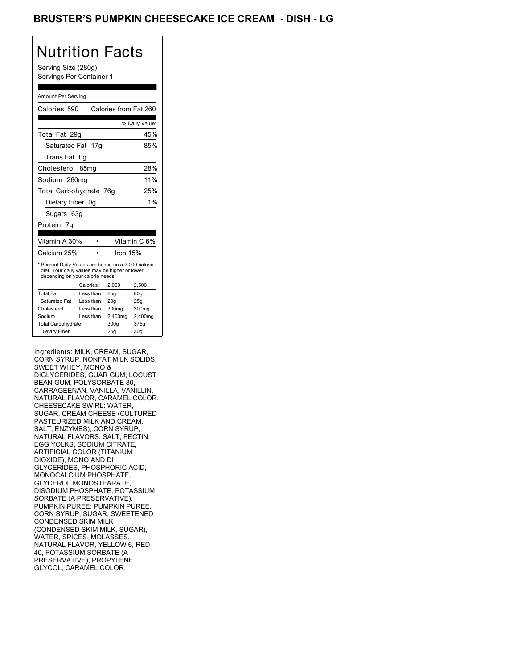### BRUSTER'S PUMPKIN CHEESECAKE ICE CREAM - DISH - LG

# Nutrition Facts

Serving Size (280g) Servings Per Container 1

#### Amount Per Serving

| Calories 590                                                                                                                              |           |     | Calories from Fat 260 |                 |
|-------------------------------------------------------------------------------------------------------------------------------------------|-----------|-----|-----------------------|-----------------|
|                                                                                                                                           |           |     |                       | % Daily Value*  |
| Total Fat 29q                                                                                                                             |           |     |                       | 45%             |
| Saturated Fat                                                                                                                             |           | 17q |                       | 85%             |
| Trans Fat                                                                                                                                 | 0g        |     |                       |                 |
| Cholesterol 85mg                                                                                                                          |           |     |                       | 28%             |
| Sodium 260mg                                                                                                                              |           |     |                       | 11%             |
| Total Carbohydrate 76q                                                                                                                    |           |     |                       | 25%             |
| Dietary Fiber 0q                                                                                                                          |           |     |                       | 1%              |
| Sugars 63g                                                                                                                                |           |     |                       |                 |
| Protein 7g                                                                                                                                |           |     |                       |                 |
|                                                                                                                                           |           |     |                       |                 |
| Vitamin A 30%                                                                                                                             |           |     |                       | Vitamin C 6%    |
| Calcium 25%                                                                                                                               |           |     | Iron 15%              |                 |
| * Percent Daily Values are based on a 2,000 calorie<br>diet. Your daily values may be higher or lower<br>depending on your calorie needs: |           |     |                       |                 |
|                                                                                                                                           | Calories: |     | 2.000                 | 2,500           |
| <b>Total Fat</b>                                                                                                                          | Less than |     | 65q                   | 80q             |
| Saturated Fat                                                                                                                             | Less than |     | 20 <sub>g</sub>       | 25g             |
| Cholesterol                                                                                                                               | Less than |     | 300mg                 | 300mg           |
| Sodium                                                                                                                                    | Less than |     | 2,400mg               | 2,400mg         |
| <b>Total Carbohydrate</b>                                                                                                                 |           |     | 300q                  | 375g            |
| Dietary Fiber                                                                                                                             |           |     | 25q                   | 30 <sub>g</sub> |

Ingredients: MILK, CREAM, SUGAR, CORN SYRUP, NONFAT MILK SOLIDS, SWEET WHEY, MONO & DIGLYCERIDES, GUAR GUM, LOCUST BEAN GUM, POLYSORBATE 80, CARRAGEENAN, VANILLA, VANILLIN, NATURAL FLAVOR, CARAMEL COLOR. CHEESECAKE SWIRL: WATER, SUGAR, CREAM CHEESE (CULTURED PASTEURIZED MILK AND CREAM, SALT, ENZYMES), CORN SYRUP, NATURAL FLAVORS, SALT, PECTIN, EGG YOLKS, SODIUM CITRATE, ARTIFICIAL COLOR (TITANIUM DIOXIDE), MONO AND DI GLYCERIDES, PHOSPHORIC ACID, MONOCALCIUM PHOSPHATE, GLYCEROL MONOSTEARATE, DISODIUM PHOSPHATE, POTASSIUM SORBATE (A PRESERVATIVE). PUMPKIN PUREE: PUMPKIN PUREE, CORN SYRUP, SUGAR, SWEETENED CONDENSED SKIM MILK (CONDENSED SKIM MILK, SUGAR), WATER, SPICES, MOLASSES, NATURAL FLAVOR, YELLOW 6, RED 40, POTASSIUM SORBATE (A PRESERVATIVE), PROPYLENE GLYCOL, CARAMEL COLOR.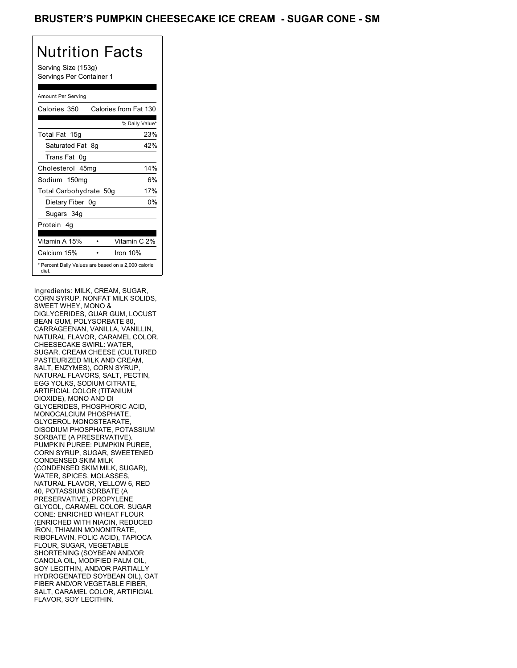Serving Size (153g) Servings Per Container 1

### Amount Per Serving

| Calories 350                                                 | Calories from Fat 130 |                |
|--------------------------------------------------------------|-----------------------|----------------|
|                                                              |                       | % Daily Value* |
| Total Fat 15g                                                |                       | 23%            |
| Saturated Fat 8g                                             |                       | 42%            |
| Trans Fat 0q                                                 |                       |                |
| Cholesterol 45mg                                             |                       | 14%            |
| Sodium 150mg                                                 |                       | 6%             |
| Total Carbohydrate 50g                                       |                       | 17%            |
| Dietary Fiber 0g                                             |                       | 0%             |
| Sugars 34g                                                   |                       |                |
| Protein 4q                                                   |                       |                |
| Vitamin A 15%                                                |                       | Vitamin C 2%   |
| Calcium 15%                                                  | Iron $10%$            |                |
| * Percent Daily Values are based on a 2,000 calorie<br>diet. |                       |                |

Ingredients: MILK, CREAM, SUGAR, CORN SYRUP, NONFAT MILK SOLIDS, SWEET WHEY, MONO & DIGLYCERIDES, GUAR GUM, LOCUST BEAN GUM, POLYSORBATE 80, CARRAGEENAN, VANILLA, VANILLIN, NATURAL FLAVOR, CARAMEL COLOR. CHEESECAKE SWIRL: WATER, SUGAR, CREAM CHEESE (CULTURED PASTEURIZED MILK AND CREAM, SALT, ENZYMES), CORN SYRUP, NATURAL FLAVORS, SALT, PECTIN, EGG YOLKS, SODIUM CITRATE, ARTIFICIAL COLOR (TITANIUM DIOXIDE), MONO AND DI GLYCERIDES, PHOSPHORIC ACID, MONOCALCIUM PHOSPHATE, GLYCEROL MONOSTEARATE, DISODIUM PHOSPHATE, POTASSIUM SORBATE (A PRESERVATIVE). PUMPKIN PUREE: PUMPKIN PUREE, CORN SYRUP, SUGAR, SWEETENED CONDENSED SKIM MILK (CONDENSED SKIM MILK, SUGAR), WATER, SPICES, MOLASSES, NATURAL FLAVOR, YELLOW 6, RED 40, POTASSIUM SORBATE (A PRESERVATIVE), PROPYLENE GLYCOL, CARAMEL COLOR. SUGAR CONE: ENRICHED WHEAT FLOUR (ENRICHED WITH NIACIN, REDUCED IRON, THIAMIN MONONITRATE, RIBOFLAVIN, FOLIC ACID), TAPIOCA FLOUR, SUGAR, VEGETABLE SHORTENING (SOYBEAN AND/OR CANOLA OIL, MODIFIED PALM OIL, SOY LECITHIN, AND/OR PARTIALLY HYDROGENATED SOYBEAN OIL), OAT FIBER AND/OR VEGETABLE FIBER, SALT, CARAMEL COLOR, ARTIFICIAL FLAVOR, SOY LECITHIN.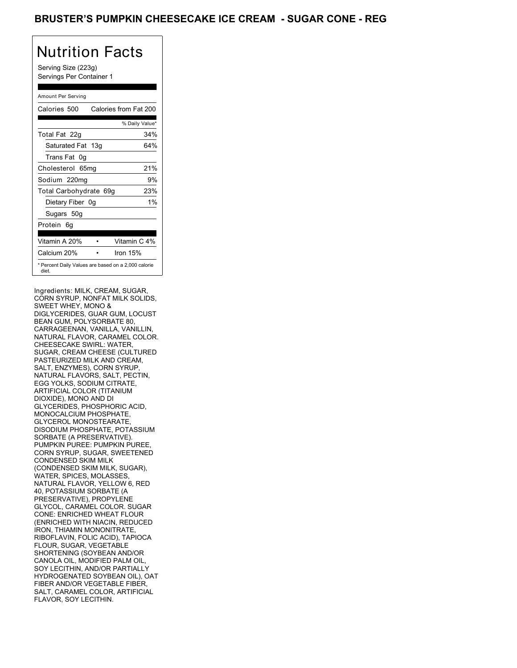Serving Size (223g) Servings Per Container 1

#### Amount Per Serving

| Calories 500           | Calories from Fat 200                               |
|------------------------|-----------------------------------------------------|
|                        | % Daily Value*                                      |
| Total Fat 22g          | 34%                                                 |
| Saturated Fat 13g      | 64%                                                 |
| Trans Fat 0q           |                                                     |
| Cholesterol 65mg       | 21%                                                 |
| Sodium 220mg           | 9%                                                  |
| Total Carbohydrate 69g | 23%                                                 |
| Dietary Fiber 0g       | $1\%$                                               |
| Sugars 50g             |                                                     |
| Protein 6q             |                                                     |
| Vitamin A 20%          | Vitamin C 4%                                        |
| Calcium 20%            | Iron 15%                                            |
| diet.                  | * Percent Daily Values are based on a 2,000 calorie |

Ingredients: MILK, CREAM, SUGAR, CORN SYRUP, NONFAT MILK SOLIDS, SWEET WHEY, MONO & DIGLYCERIDES, GUAR GUM, LOCUST BEAN GUM, POLYSORBATE 80, CARRAGEENAN, VANILLA, VANILLIN, NATURAL FLAVOR, CARAMEL COLOR. CHEESECAKE SWIRL: WATER, SUGAR, CREAM CHEESE (CULTURED PASTEURIZED MILK AND CREAM, SALT, ENZYMES), CORN SYRUP, NATURAL FLAVORS, SALT, PECTIN, EGG YOLKS, SODIUM CITRATE, ARTIFICIAL COLOR (TITANIUM DIOXIDE), MONO AND DI GLYCERIDES, PHOSPHORIC ACID, MONOCALCIUM PHOSPHATE, GLYCEROL MONOSTEARATE, DISODIUM PHOSPHATE, POTASSIUM SORBATE (A PRESERVATIVE). PUMPKIN PUREE: PUMPKIN PUREE, CORN SYRUP, SUGAR, SWEETENED CONDENSED SKIM MILK (CONDENSED SKIM MILK, SUGAR), WATER, SPICES, MOLASSES, NATURAL FLAVOR, YELLOW 6, RED 40, POTASSIUM SORBATE (A PRESERVATIVE), PROPYLENE GLYCOL, CARAMEL COLOR. SUGAR CONE: ENRICHED WHEAT FLOUR (ENRICHED WITH NIACIN, REDUCED IRON, THIAMIN MONONITRATE, RIBOFLAVIN, FOLIC ACID), TAPIOCA FLOUR, SUGAR, VEGETABLE SHORTENING (SOYBEAN AND/OR CANOLA OIL, MODIFIED PALM OIL, SOY LECITHIN, AND/OR PARTIALLY HYDROGENATED SOYBEAN OIL), OAT FIBER AND/OR VEGETABLE FIBER, SALT, CARAMEL COLOR, ARTIFICIAL FLAVOR, SOY LECITHIN.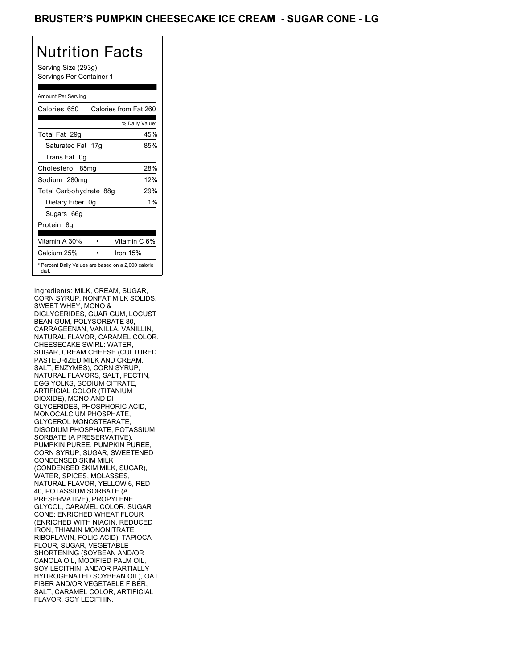Serving Size (293g) Servings Per Container 1

### Amount Per Serving

| Calories 650           | Calories from Fat 260                               |
|------------------------|-----------------------------------------------------|
|                        | % Daily Value*                                      |
| Total Fat 29g          | 45%                                                 |
| Saturated Fat 17g      | 85%                                                 |
| Trans Fat 0q           |                                                     |
| Cholesterol 85mg       | 28%                                                 |
| Sodium 280mg           | 12%                                                 |
| Total Carbohydrate 88g | 29%                                                 |
| Dietary Fiber 0g       | $1\%$                                               |
| Sugars 66g             |                                                     |
| Protein 8q             |                                                     |
| Vitamin A 30%          | Vitamin C 6%                                        |
| Calcium 25%            | Iron 15%                                            |
| diet.                  | * Percent Daily Values are based on a 2,000 calorie |

Ingredients: MILK, CREAM, SUGAR, CORN SYRUP, NONFAT MILK SOLIDS, SWEET WHEY, MONO & DIGLYCERIDES, GUAR GUM, LOCUST BEAN GUM, POLYSORBATE 80, CARRAGEENAN, VANILLA, VANILLIN, NATURAL FLAVOR, CARAMEL COLOR. CHEESECAKE SWIRL: WATER, SUGAR, CREAM CHEESE (CULTURED PASTEURIZED MILK AND CREAM, SALT, ENZYMES), CORN SYRUP, NATURAL FLAVORS, SALT, PECTIN, EGG YOLKS, SODIUM CITRATE, ARTIFICIAL COLOR (TITANIUM DIOXIDE), MONO AND DI GLYCERIDES, PHOSPHORIC ACID, MONOCALCIUM PHOSPHATE, GLYCEROL MONOSTEARATE, DISODIUM PHOSPHATE, POTASSIUM SORBATE (A PRESERVATIVE). PUMPKIN PUREE: PUMPKIN PUREE, CORN SYRUP, SUGAR, SWEETENED CONDENSED SKIM MILK (CONDENSED SKIM MILK, SUGAR), WATER, SPICES, MOLASSES, NATURAL FLAVOR, YELLOW 6, RED 40, POTASSIUM SORBATE (A PRESERVATIVE), PROPYLENE GLYCOL, CARAMEL COLOR. SUGAR CONE: ENRICHED WHEAT FLOUR (ENRICHED WITH NIACIN, REDUCED IRON, THIAMIN MONONITRATE, RIBOFLAVIN, FOLIC ACID), TAPIOCA FLOUR, SUGAR, VEGETABLE SHORTENING (SOYBEAN AND/OR CANOLA OIL, MODIFIED PALM OIL, SOY LECITHIN, AND/OR PARTIALLY HYDROGENATED SOYBEAN OIL), OAT FIBER AND/OR VEGETABLE FIBER, SALT, CARAMEL COLOR, ARTIFICIAL FLAVOR, SOY LECITHIN.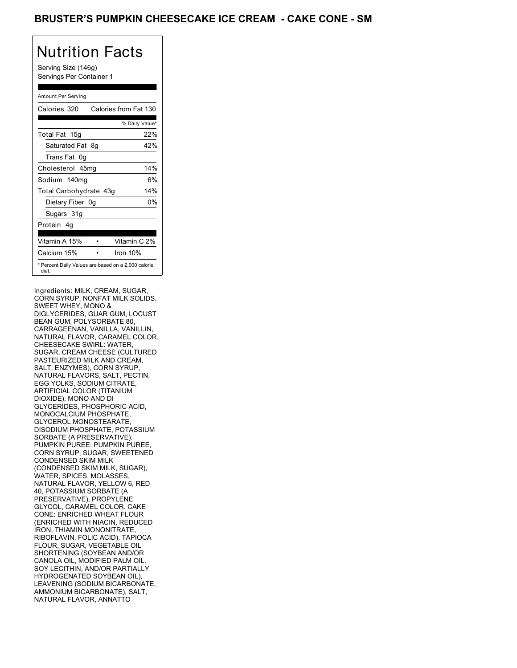Serving Size (146g) Servings Per Container 1

### Amount Per Serving

| Calories 320           | Calories from Fat 130                               |
|------------------------|-----------------------------------------------------|
|                        | % Daily Value*                                      |
| Total Fat 15g          | 22%                                                 |
| Saturated Fat 8g       | 42%                                                 |
| Trans Fat 0q           |                                                     |
| Cholesterol 45mg       | 14%                                                 |
| Sodium 140mg           | 6%                                                  |
| Total Carbohydrate 43g | 14%                                                 |
| Dietary Fiber 0g       | 0%                                                  |
| Sugars 31g             |                                                     |
| Protein 4q             |                                                     |
| Vitamin A 15%          | Vitamin C 2%                                        |
| Calcium 15%            | Iron $10%$                                          |
| diet.                  | * Percent Daily Values are based on a 2,000 calorie |

Ingredients: MILK, CREAM, SUGAR, CORN SYRUP, NONFAT MILK SOLIDS, SWEET WHEY, MONO & DIGLYCERIDES, GUAR GUM, LOCUST BEAN GUM, POLYSORBATE 80, CARRAGEENAN, VANILLA, VANILLIN, NATURAL FLAVOR, CARAMEL COLOR. CHEESECAKE SWIRL: WATER, SUGAR, CREAM CHEESE (CULTURED PASTEURIZED MILK AND CREAM, SALT, ENZYMES), CORN SYRUP, NATURAL FLAVORS, SALT, PECTIN, EGG YOLKS, SODIUM CITRATE, ARTIFICIAL COLOR (TITANIUM DIOXIDE), MONO AND DI GLYCERIDES, PHOSPHORIC ACID, MONOCALCIUM PHOSPHATE, GLYCEROL MONOSTEARATE, DISODIUM PHOSPHATE, POTASSIUM SORBATE (A PRESERVATIVE). PUMPKIN PUREE: PUMPKIN PUREE, CORN SYRUP, SUGAR, SWEETENED CONDENSED SKIM MILK (CONDENSED SKIM MILK, SUGAR), WATER, SPICES, MOLASSES, NATURAL FLAVOR, YELLOW 6, RED 40, POTASSIUM SORBATE (A PRESERVATIVE), PROPYLENE GLYCOL, CARAMEL COLOR. CAKE CONE: ENRICHED WHEAT FLOUR (ENRICHED WITH NIACIN, REDUCED IRON, THIAMIN MONONITRATE, RIBOFLAVIN, FOLIC ACID), TAPIOCA FLOUR, SUGAR, VEGETABLE OIL SHORTENING (SOYBEAN AND/OR CANOLA OIL, MODIFIED PALM OIL, SOY LECITHIN, AND/OR PARTIALLY HYDROGENATED SOYBEAN OIL), LEAVENING (SODIUM BICARBONATE, AMMONIUM BICARBONATE), SALT, NATURAL FLAVOR, ANNATTO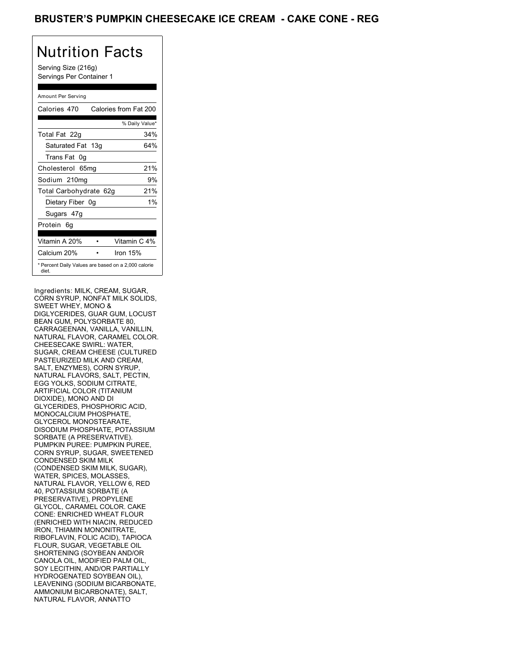Serving Size (216g) Servings Per Container 1

### Amount Per Serving

| Calories 470                                                 | Calories from Fat 200 |
|--------------------------------------------------------------|-----------------------|
|                                                              | % Daily Value*        |
| Total Fat 22g                                                | 34%                   |
| Saturated Fat 13g                                            | 64%                   |
| Trans Fat 0q                                                 |                       |
| Cholesterol 65mg                                             | 21%                   |
| Sodium 210mg                                                 | 9%                    |
| Total Carbohydrate 62g                                       | 21%                   |
| Dietary Fiber 0g                                             | $1\%$                 |
| Sugars 47g                                                   |                       |
| Protein 6q                                                   |                       |
| Vitamin A 20%                                                | Vitamin C 4%          |
| Calcium 20%                                                  | Iron $15%$            |
| * Percent Daily Values are based on a 2,000 calorie<br>diet. |                       |

Ingredients: MILK, CREAM, SUGAR, CORN SYRUP, NONFAT MILK SOLIDS, SWEET WHEY, MONO & DIGLYCERIDES, GUAR GUM, LOCUST BEAN GUM, POLYSORBATE 80, CARRAGEENAN, VANILLA, VANILLIN, NATURAL FLAVOR, CARAMEL COLOR. CHEESECAKE SWIRL: WATER, SUGAR, CREAM CHEESE (CULTURED PASTEURIZED MILK AND CREAM, SALT, ENZYMES), CORN SYRUP, NATURAL FLAVORS, SALT, PECTIN, EGG YOLKS, SODIUM CITRATE, ARTIFICIAL COLOR (TITANIUM DIOXIDE), MONO AND DI GLYCERIDES, PHOSPHORIC ACID, MONOCALCIUM PHOSPHATE, GLYCEROL MONOSTEARATE, DISODIUM PHOSPHATE, POTASSIUM SORBATE (A PRESERVATIVE). PUMPKIN PUREE: PUMPKIN PUREE, CORN SYRUP, SUGAR, SWEETENED CONDENSED SKIM MILK (CONDENSED SKIM MILK, SUGAR), WATER, SPICES, MOLASSES, NATURAL FLAVOR, YELLOW 6, RED 40, POTASSIUM SORBATE (A PRESERVATIVE), PROPYLENE GLYCOL, CARAMEL COLOR. CAKE CONE: ENRICHED WHEAT FLOUR (ENRICHED WITH NIACIN, REDUCED IRON, THIAMIN MONONITRATE, RIBOFLAVIN, FOLIC ACID), TAPIOCA FLOUR, SUGAR, VEGETABLE OIL SHORTENING (SOYBEAN AND/OR CANOLA OIL, MODIFIED PALM OIL, SOY LECITHIN, AND/OR PARTIALLY HYDROGENATED SOYBEAN OIL), LEAVENING (SODIUM BICARBONATE, AMMONIUM BICARBONATE), SALT, NATURAL FLAVOR, ANNATTO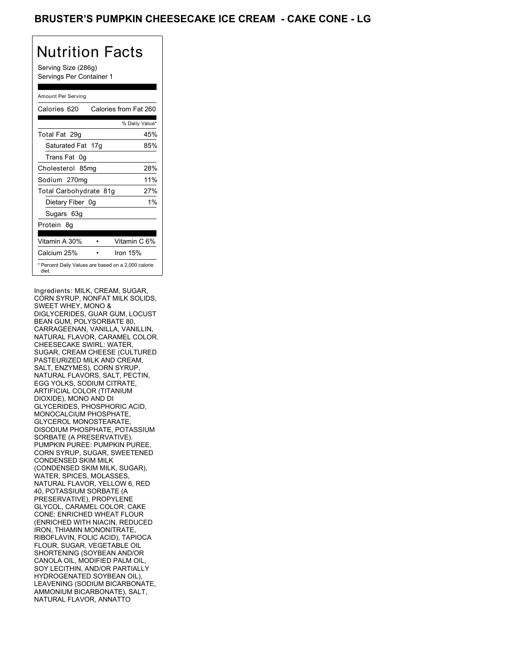Serving Size (286g) Servings Per Container 1

#### Amount Per Serving

| Calories 620                                                 | Calories from Fat 260 |
|--------------------------------------------------------------|-----------------------|
|                                                              | % Daily Value*        |
| Total Fat 29g                                                | 45%                   |
| Saturated Fat 17g                                            | 85%                   |
| Trans Fat 0q                                                 |                       |
| Cholesterol 85mg                                             | 28%                   |
| Sodium 270mg                                                 | 11%                   |
| Total Carbohydrate 81g                                       | 27%                   |
| Dietary Fiber 0g                                             | $1\%$                 |
| Sugars 63g                                                   |                       |
| Protein 8q                                                   |                       |
| Vitamin A 30%                                                | Vitamin C 6%          |
| Calcium 25%                                                  | Iron $15%$            |
| * Percent Daily Values are based on a 2,000 calorie<br>diet. |                       |

Ingredients: MILK, CREAM, SUGAR, CORN SYRUP, NONFAT MILK SOLIDS, SWEET WHEY, MONO & DIGLYCERIDES, GUAR GUM, LOCUST BEAN GUM, POLYSORBATE 80, CARRAGEENAN, VANILLA, VANILLIN, NATURAL FLAVOR, CARAMEL COLOR. CHEESECAKE SWIRL: WATER, SUGAR, CREAM CHEESE (CULTURED PASTEURIZED MILK AND CREAM, SALT, ENZYMES), CORN SYRUP, NATURAL FLAVORS, SALT, PECTIN, EGG YOLKS, SODIUM CITRATE, ARTIFICIAL COLOR (TITANIUM DIOXIDE), MONO AND DI GLYCERIDES, PHOSPHORIC ACID, MONOCALCIUM PHOSPHATE, GLYCEROL MONOSTEARATE, DISODIUM PHOSPHATE, POTASSIUM SORBATE (A PRESERVATIVE). PUMPKIN PUREE: PUMPKIN PUREE, CORN SYRUP, SUGAR, SWEETENED CONDENSED SKIM MILK (CONDENSED SKIM MILK, SUGAR), WATER, SPICES, MOLASSES, NATURAL FLAVOR, YELLOW 6, RED 40, POTASSIUM SORBATE (A PRESERVATIVE), PROPYLENE GLYCOL, CARAMEL COLOR. CAKE CONE: ENRICHED WHEAT FLOUR (ENRICHED WITH NIACIN, REDUCED IRON, THIAMIN MONONITRATE, RIBOFLAVIN, FOLIC ACID), TAPIOCA FLOUR, SUGAR, VEGETABLE OIL SHORTENING (SOYBEAN AND/OR CANOLA OIL, MODIFIED PALM OIL, SOY LECITHIN, AND/OR PARTIALLY HYDROGENATED SOYBEAN OIL), LEAVENING (SODIUM BICARBONATE, AMMONIUM BICARBONATE), SALT, NATURAL FLAVOR, ANNATTO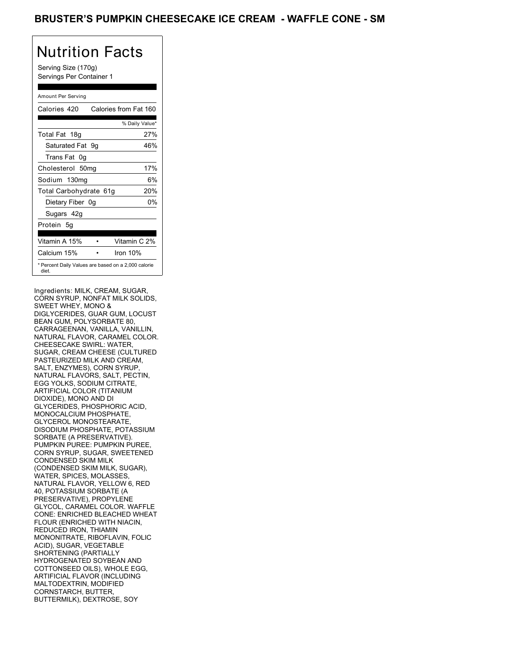Serving Size (170g) Servings Per Container 1

### Amount Per Serving

| Calories 420                                                 | Calories from Fat 160 |     |
|--------------------------------------------------------------|-----------------------|-----|
|                                                              | % Daily Value*        |     |
| Total Fat 18g                                                |                       | 27% |
| Saturated Fat 9q                                             |                       | 46% |
| Trans Fat 0q                                                 |                       |     |
| Cholesterol 50mg                                             |                       | 17% |
| Sodium 130mg                                                 |                       | 6%  |
| Total Carbohydrate 61g                                       |                       | 20% |
| Dietary Fiber 0g                                             |                       | 0%  |
| Sugars 42g                                                   |                       |     |
| Protein 5q                                                   |                       |     |
| Vitamin A 15%                                                | Vitamin C 2%          |     |
| Calcium 15%                                                  | Iron 10%              |     |
| * Percent Daily Values are based on a 2,000 calorie<br>diet. |                       |     |

Ingredients: MILK, CREAM, SUGAR, CORN SYRUP, NONFAT MILK SOLIDS, SWEET WHEY, MONO & DIGLYCERIDES, GUAR GUM, LOCUST BEAN GUM, POLYSORBATE 80, CARRAGEENAN, VANILLA, VANILLIN, NATURAL FLAVOR, CARAMEL COLOR. CHEESECAKE SWIRL: WATER, SUGAR, CREAM CHEESE (CULTURED PASTEURIZED MILK AND CREAM, SALT, ENZYMES), CORN SYRUP, NATURAL FLAVORS, SALT, PECTIN, EGG YOLKS, SODIUM CITRATE, ARTIFICIAL COLOR (TITANIUM DIOXIDE), MONO AND DI GLYCERIDES, PHOSPHORIC ACID, MONOCALCIUM PHOSPHATE, GLYCEROL MONOSTEARATE, DISODIUM PHOSPHATE, POTASSIUM SORBATE (A PRESERVATIVE). PUMPKIN PUREE: PUMPKIN PUREE, CORN SYRUP, SUGAR, SWEETENED CONDENSED SKIM MILK (CONDENSED SKIM MILK, SUGAR), WATER, SPICES, MOLASSES, NATURAL FLAVOR, YELLOW 6, RED 40, POTASSIUM SORBATE (A PRESERVATIVE), PROPYLENE GLYCOL, CARAMEL COLOR. WAFFLE CONE: ENRICHED BLEACHED WHEAT FLOUR (ENRICHED WITH NIACIN, REDUCED IRON, THIAMIN MONONITRATE, RIBOFLAVIN, FOLIC ACID), SUGAR, VEGETABLE SHORTENING (PARTIALLY HYDROGENATED SOYBEAN AND COTTONSEED OILS), WHOLE EGG, ARTIFICIAL FLAVOR (INCLUDING MALTODEXTRIN, MODIFIED CORNSTARCH, BUTTER, BUTTERMILK), DEXTROSE, SOY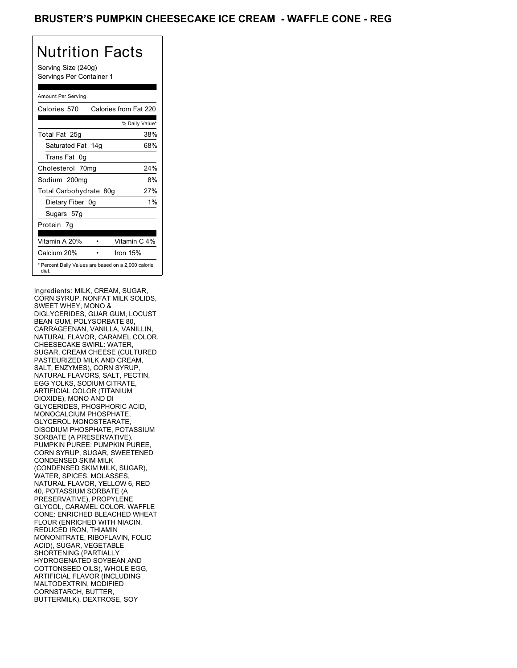Serving Size (240g) Servings Per Container 1

### Amount Per Serving

| Calories 570                                                 | Calories from Fat 220 |       |
|--------------------------------------------------------------|-----------------------|-------|
|                                                              | % Daily Value*        |       |
| Total Fat 25g                                                |                       | 38%   |
| Saturated Fat 14g                                            |                       | 68%   |
| Trans Fat 0g                                                 |                       |       |
| Cholesterol 70mg                                             |                       | 24%   |
| Sodium 200mg                                                 |                       | 8%    |
| Total Carbohydrate 80g                                       |                       | 27%   |
| Dietary Fiber 0g                                             |                       | $1\%$ |
| Sugars 57g                                                   |                       |       |
| Protein 7q                                                   |                       |       |
| Vitamin A 20%                                                | Vitamin C 4%          |       |
| Calcium 20%                                                  | Iron 15%              |       |
| * Percent Daily Values are based on a 2,000 calorie<br>diet. |                       |       |

Ingredients: MILK, CREAM, SUGAR, CORN SYRUP, NONFAT MILK SOLIDS, SWEET WHEY, MONO & DIGLYCERIDES, GUAR GUM, LOCUST BEAN GUM, POLYSORBATE 80, CARRAGEENAN, VANILLA, VANILLIN, NATURAL FLAVOR, CARAMEL COLOR. CHEESECAKE SWIRL: WATER, SUGAR, CREAM CHEESE (CULTURED PASTEURIZED MILK AND CREAM, SALT, ENZYMES), CORN SYRUP, NATURAL FLAVORS, SALT, PECTIN, EGG YOLKS, SODIUM CITRATE, ARTIFICIAL COLOR (TITANIUM DIOXIDE), MONO AND DI GLYCERIDES, PHOSPHORIC ACID, MONOCALCIUM PHOSPHATE, GLYCEROL MONOSTEARATE, DISODIUM PHOSPHATE, POTASSIUM SORBATE (A PRESERVATIVE). PUMPKIN PUREE: PUMPKIN PUREE, CORN SYRUP, SUGAR, SWEETENED CONDENSED SKIM MILK (CONDENSED SKIM MILK, SUGAR), WATER, SPICES, MOLASSES, NATURAL FLAVOR, YELLOW 6, RED 40, POTASSIUM SORBATE (A PRESERVATIVE), PROPYLENE GLYCOL, CARAMEL COLOR. WAFFLE CONE: ENRICHED BLEACHED WHEAT FLOUR (ENRICHED WITH NIACIN, REDUCED IRON, THIAMIN MONONITRATE, RIBOFLAVIN, FOLIC ACID), SUGAR, VEGETABLE SHORTENING (PARTIALLY HYDROGENATED SOYBEAN AND COTTONSEED OILS), WHOLE EGG, ARTIFICIAL FLAVOR (INCLUDING MALTODEXTRIN, MODIFIED CORNSTARCH, BUTTER, BUTTERMILK), DEXTROSE, SOY